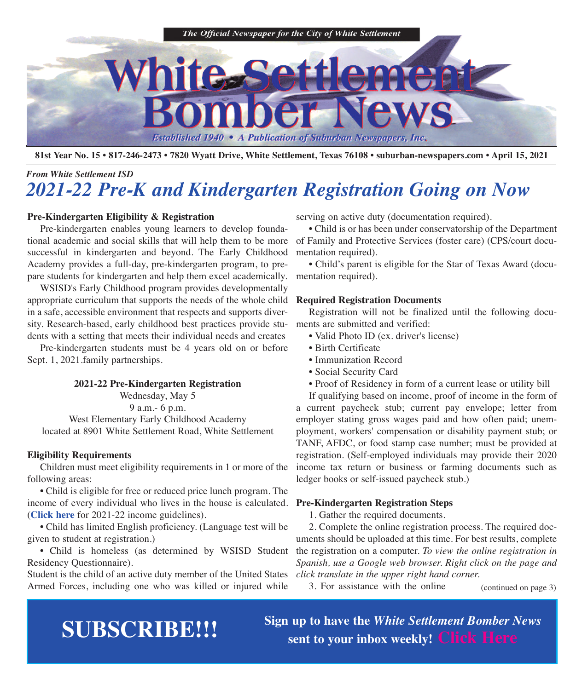

81st Year No. 15 • 817-246-2473 • 7820 Wyatt Drive, White Settlement, Texas 76108 • suburban-newspapers.com • April 15, 2021

### *From White Settlement ISD 2021-22 Pre-K and Kindergarten Registration Going on Now*

#### **Pre-Kindergarten Eligibility & Registration**

 Pre-kindergarten enables young learners to develop foundational academic and social skills that will help them to be more successful in kindergarten and beyond. The Early Childhood Academy provides a full-day, pre-kindergarten program, to prepare students for kindergarten and help them excel academically.

 WSISD's Early Childhood program provides developmentally appropriate curriculum that supports the needs of the whole child **Required Registration Documents** in a safe, accessible environment that respects and supports diversity. Research-based, early childhood best practices provide students with a setting that meets their individual needs and creates

 Pre-kindergarten students must be 4 years old on or before Sept. 1, 2021.family partnerships.

#### **2021-22 Pre-Kindergarten Registration**

Wednesday, May 5

9 a.m.- 6 p.m.

West Elementary Early Childhood Academy located at 8901 White Settlement Road, White Settlement

#### **Eligibility Requirements**

 Children must meet eligibility requirements in 1 or more of the following areas:

 • Child is eligible for free or reduced price lunch program. The income of every individual who lives in the house is calculated. **Pre-Kindergarten Registration Steps** (**[Click](https://www.wsisd.com/ourpages/users/dcoyle/For%20Parents/Determining%20Income%20Eligibility_Page_2.jpg) here** for 2021-22 income guidelines).

 • Child has limited English proficiency. (Language test will be given to student at registration.)

 • Child is homeless (as determined by WSISD Student Residency Questionnaire).

Student is the child of an active duty member of the United States Armed Forces, including one who was killed or injured while

serving on active duty (documentation required).

 • Child is or has been under conservatorship of the Department of Family and Protective Services (foster care) (CPS/court documentation required).

 • Child's parent is eligible for the Star of Texas Award (documentation required).

 Registration will not be finalized until the following documents are submitted and verified:

- Valid Photo ID (ex. driver's license)
- Birth Certificate
- Immunization Record
- Social Security Card
- Proof of Residency in form of a current lease or utility bill

 If qualifying based on income, proof of income in the form of a current paycheck stub; current pay envelope; letter from employer stating gross wages paid and how often paid; unemployment, workers' compensation or disability payment stub; or TANF, AFDC, or food stamp case number; must be provided at registration. (Self-employed individuals may provide their 2020 income tax return or business or farming documents such as ledger books or self-issued paycheck stub.)

1. Gather the required documents.

 2. Complete the online registration process. The required documents should be uploaded at this time. For best results, complete the registration on a computer. *To view the online registration in Spanish, use a Google web browser. Right click on the page and click translate in the upper right hand corner.*

3. For assistance with the online (continued on page 3)

**SUBSCRIBE!!!**<br>Sign up to have the *White Settlement Bomber News*  $s$  sent to your inbox weekly! [Click](http://eepurl.com/g3m8OX) Here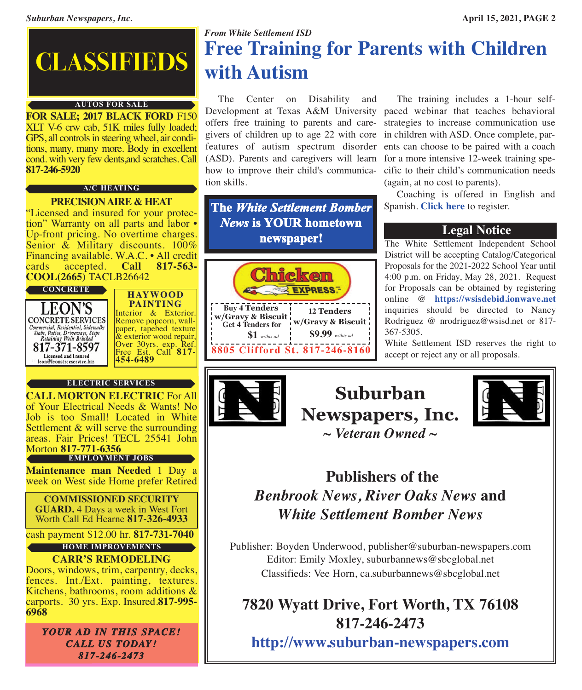# **CLASSIFIEDS**

#### **AUTOS FOR SALE**

**FOR SALE; 2017 BLACK FORD** F150 XLT V-6 crw cab, 51K miles fully loaded; GPS, all controls in steering wheel, air conditions, many, many more. Body in excellent cond. with very few dents,and scratches. Call **817-246-5920**

#### **A/C HEATING**

#### **PRECISIONAIRE & HEAT**

"Licensed and insured for your protection" Warranty on all parts and labor • Up-front pricing. No overtime charges.<br>Senior & Military discounts. 100% Financing available. W.A.C. • All credit cards accepted. **Call 817-563**cards accepted. **Call 817-563- COOL(2665)** TACLB26642



**HAYWOOD PAINTING** Interior & Exterior.<br>Remove popcorn, wall-<br>paper, tapebed texture & exterior wood repair, Over 30yrs. exp. Ref. Free Est. Call **817- 454-6489**

#### **ELECTRIC SERVICES**



cash payment \$12.00 hr. **817-731-7040**

#### **CARR'S REMODELING HOME IMPROVEMENTS**

Doors, windows, trim, carpentry, decks, fences. Int./Ext. painting, textures. Kitchens, bathrooms, room additions & carports. 30 yrs. Exp. Insured.**817-995- 6968**

*YOUR AD IN THIS SPACE! CALL US TODAY! 817-246-2473*

### *From White Settlement ISD* **Free Training for Parents with Children with Autism**

 The Center on Disability and tion skills.

**The** *White Settlement Bomber News* **is YOUR hometown newspaper!** The White Settlement Independent School



Development at Texas A&M University paced webinar that teaches behavioral offers free training to parents and care-strategies to increase communication use givers of children up to age 22 with core in children with ASD. Once complete, parfeatures of autism spectrum disorder ents can choose to be paired with a coach (ASD). Parents and caregivers will learn for a more intensive 12-week training spehow to improve their child's communica-cific to their child's communication needs The training includes a 1-hour self-(again, at no cost to parents).

 Coaching is offered in English and Spanish. **[Click](https://autism.tamu.edu) here** to register.

District will be accepting Catalog/Categorical Proposals for the 2021-2022 School Year until 4:00 p.m. on Friday, May 28, 2021. Request for Proposals can be obtained by registering online @ **<https://wsisdebid.ionwave.net>** inquiries should be directed to Nancy Rodriguez @ nrodriguez@wsisd.net or 817- 367-5305.

White Settlement ISD reserves the right to accept or reject any or all proposals.







### **Publishers of the** *Benbrook News, River Oaks News* **and** *White Settlement Bomber News*

Publisher: Boyden Underwood, publisher@suburban-newspapers.com Editor: Emily Moxley, suburbannews@sbcglobal.net Classifieds: Vee Horn, ca.suburbannews@sbcglobal.net

## **7820 Wyatt Drive, Fort Worth, TX 76108 817-246-2473**

**<http://www.suburban-newspapers.com>**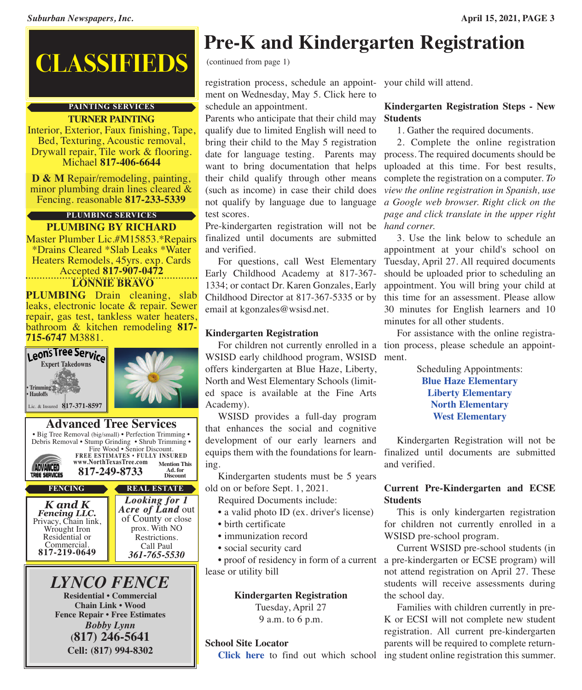# **CLASSIFIEDS** (continued from page 1)

#### **PAINTING SERVICES**

**TURNER PAINTING**

Interior, Exterior, Faux finishing, Tape, Bed, Texturing, Acoustic removal, Drywall repair, Tile work & flooring. Michael **817-406-6644**

**<sup>D</sup> & <sup>M</sup>** Repair/remodeling, painting, minor plumbing drain lines cleared & Fencing. reasonable **817-233-5339**

#### **PLUMBING BY RICHARD PLUMBING SERVICES**

Master Plumber Lic.#M15853.\*Repairs \*Drains Cleared \*Slab Leaks \*Water Heaters Remodels, 45yrs. exp. Cards Accepted **817-907-0472**

**LONNIE BRAVO**

**PLUMBING** Drain cleaning, slab leaks, electronic locate & repair. Sewer repair, gas test, tankless water heaters, bathroom & kitchen remodeling **817- 715-6747** M3881.



**Pre-K and Kindergarten Registration**

registration process, schedule an appoint-your child will attend. ment on Wednesday, May 5. Click here to schedule an appointment.

Parents who anticipate that their child may **Students** qualify due to limited English will need to bring their child to the May 5 registration date for language testing. Parents may want to bring documentation that helps their child qualify through other means (such as income) in case their child does not qualify by language due to language test scores.

Pre-kindergarten registration will not be *hand corner.* finalized until documents are submitted and verified.

 For questions, call West Elementary Early Childhood Academy at 817-367- 1334; or contact Dr. Karen Gonzales, Early Childhood Director at 817-367-5335 or by email at kgonzales@wsisd.net.

### **Kindergarten Registration**

 For children not currently enrolled in a tion process, please schedule an appoint-WSISD early childhood program, WSISD ment. offers kindergarten at Blue Haze, Liberty, North and West Elementary Schools (limited space is available at the Fine Arts Academy).

 WSISD provides a full-day program that enhances the social and cognitive development of our early learners and equips them with the foundations for learning.

 Kindergarten students must be 5 years old on or before Sept. 1, 2021.

Required Documents include:

- a valid photo ID (ex. driver's license)
- birth certificate
- immunization record
- social security card

lease or utility bill

**Kindergarten Registration** Tuesday, April 27

9 a.m. to 6 p.m.

#### **School Site Locator**

# **Kindergarten Registration Steps - New**

1. Gather the required documents.

 2. Complete the online registration process. The required documents should be uploaded at this time. For best results, complete the registration on a computer. *To view the online registration in Spanish, use a Google web browser. Right click on the page and click translate in the upper right*

 3. Use the link below to schedule an appointment at your child's school on Tuesday, April 27. All required documents should be uploaded prior to scheduling an appointment. You will bring your child at this time for an assessment. Please allow 30 minutes for English learners and 10 minutes for all other students.

For assistance with the online registra-

Scheduling Appointments: **Blue Haze [Elementary](https://www.signupgenius.com/go/9040b4cada828a5f49-blue1) Liberty [Elementary](https://www.signupgenius.com/go/9040b4cada828a5f49-liberty1) North [Elementary](https://www.signupgenius.com/go/9040b4cada828a5f49-north2) West [Elementary](https://www.signupgenius.com/go/9040b4cada828a5f49-west1)**

 Kindergarten Registration will not be finalized until documents are submitted and verified.

#### **Current Pre-Kindergarten and ECSE Students**

 This is only kindergarten registration for children not currently enrolled in a WSISD pre-school program.

 • proof of residency in form of a current a pre-kindergarten or ECSE program) will Current WSISD pre-school students (in not attend registration on April 27. These students will receive assessments during the school day.

**[Click](http://apps.schoolsitelocator.com/?districtcode=01155) here** to find out which school ing student online registration this summer. Families with children currently in pre-K or ECSI will not complete new student registration. All current pre-kindergarten parents will be required to complete return-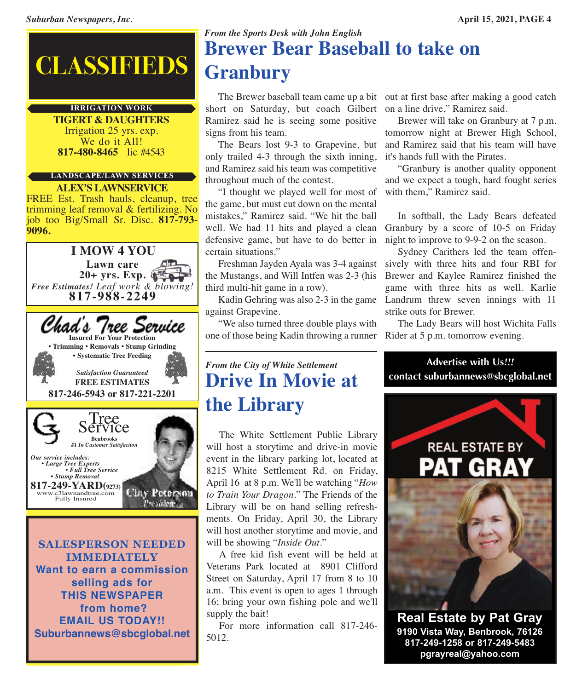# **CLASSIFIEDS**

#### **IRRIGATION WORK**

**TIGERT & DAUGHTERS** Irrigation <sup>25</sup> yrs. exp. We do it All! **817-480-8465** lic #4543

#### **LANDSCAPE/LAWN SERVICES**

**ALEX'S LAWNSERVICE** FREE Est. Trash hauls, cleanup, tree trimming leaf removal & fertilizing. No job too Big/Small Sr. Disc. **817-793- 9096.**



**SALESPERSON NEEDED IMMEDIATELY Want to earn a commission selling ads for THIS NEWSPAPER from home? EMAIL US TODAY!! Suburbannews@sbcglobal.net**

### *From the Sports Desk with John English* **Brewer Bear Baseball to take on Granbury**

short on Saturday, but coach Gilbert on a line drive," Ramirez said. Ramirez said he is seeing some positive signs from his team.

 The Bears lost 9-3 to Grapevine, but and Ramirez said that his team will have only trailed 4-3 through the sixth inning, and Ramirez said his team was competitive throughout much of the contest.

 "I thought we played well for most of the game, but must cut down on the mental mistakes," Ramirez said. "We hit the ball well. We had 11 hits and played a clean defensive game, but have to do better in certain situations."

 Freshman Jayden Ayala was 3-4 against sively with three hits and four RBI for the Mustangs, and Will Intfen was 2-3 (his third multi-hit game in a row).

 Kadin Gehring was also 2-3 in the game against Grapevine.

 "We also turned three double plays with one of those being Kadin throwing a runner

## The Brewer baseball team came up a bit out at first base after making a good catch

 Brewer will take on Granbury at 7 p.m. tomorrow night at Brewer High School, it's hands full with the Pirates.

 "Granbury is another quality opponent and we expect a tough, hard fought series with them," Ramirez said.

 In softball, the Lady Bears defeated Granbury by a score of 10-5 on Friday night to improve to 9-9-2 on the season.

 Sydney Carithers led the team offen-Brewer and Kaylee Ramirez finished the game with three hits as well. Karlie Landrum threw seven innings with 11 strike outs for Brewer.

 The Lady Bears will host Wichita Falls Rider at 5 p.m. tomorrow evening.

**Advertise with Us***!!!*

**contact suburbannews@sbcglobal.net**

### *From the City of White Settlement* **Drive In Movie at the Library**

 The White Settlement Public Library will host a storytime and drive-in movie event in the library parking lot, located at 8215 White Settlement Rd. on Friday, April 16 at 8 p.m. We'll be watching "*How to Train Your Dragon*." The Friends of the Library will be on hand selling refreshments. On Friday, April 30, the Library will host another storytime and movie, and will be showing "*Inside Out*."

 A free kid fish event will be held at Veterans Park located at 8901 Clifford Street on Saturday, April 17 from 8 to 10 a.m. This event is open to ages 1 through 16; bring your own fishing pole and we'll supply the bait!

 For more information call 817-246- 5012.

**REAL ESTATE BY** 

**Real Estate by Pat Gray 9190 Vista Way, Benbrook, 76126 817-249-1258 or 817-249-5483 pgrayreal@yahoo.com**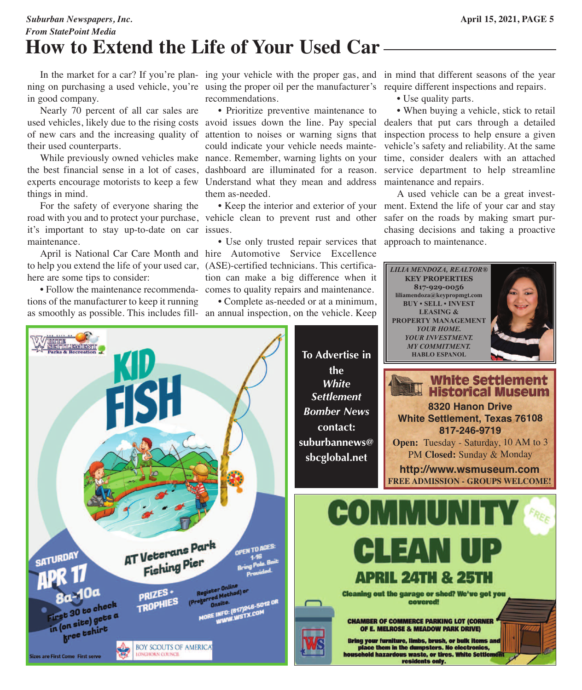### *Suburban Newspapers, Inc.* **April 15, 2021, PAGE 5** *From StatePoint Media* **How to Extend the Life of Your Used Car**

In the market for a car? If you're plan- ing your vehicle with the proper gas, and in mind that different seasons of the year ning on purchasing a used vehicle, you're using the proper oil per the manufacturer's require different inspections and repairs. in good company.

 Nearly 70 percent of all car sales are of new cars and the increasing quality of their used counterparts.

 While previously owned vehicles make nance. Remember, warning lights on your time, consider dealers with an attached the best financial sense in a lot of cases, dashboard are illuminated for a reason. service department to help streamline experts encourage motorists to keep a few Understand what they mean and address maintenance and repairs. things in mind.

 For the safety of everyone sharing the road with you and to protect your purchase, vehicle clean to prevent rust and other safer on the roads by making smart purit's important to stay up-to-date on car issues. maintenance.

 April is National Car Care Month and hire Automotive Service Excellence to help you extend the life of your used car, (ASE)-certified technicians. This certificahere are some tips to consider:

 • Follow the maintenance recommenda-comes to quality repairs and maintenance. tions of the manufacturer to keep it running

recommendations.

used vehicles, likely due to the rising costs avoid issues down the line. Pay special dealers that put cars through a detailed • Prioritize preventive maintenance to attention to noises or warning signs that inspection process to help ensure a given could indicate your vehicle needs maintethem as-needed.

 • Use only trusted repair services that approach to maintenance.tion can make a big difference when it

• Complete as-needed or at a minimum,

• Use quality parts.

*LILIA MENDOZA, REALTOR®* **KEY PROPERTIES 817-929-0056 liliamendoza@keypropmgt.com BUY • SELL • INVEST**

 • When buying a vehicle, stick to retail vehicle's safety and reliability. At the same

 • Keep the interior and exterior of your ment. Extend the life of your car and stay A used vehicle can be a great investchasing decisions and taking a proactive

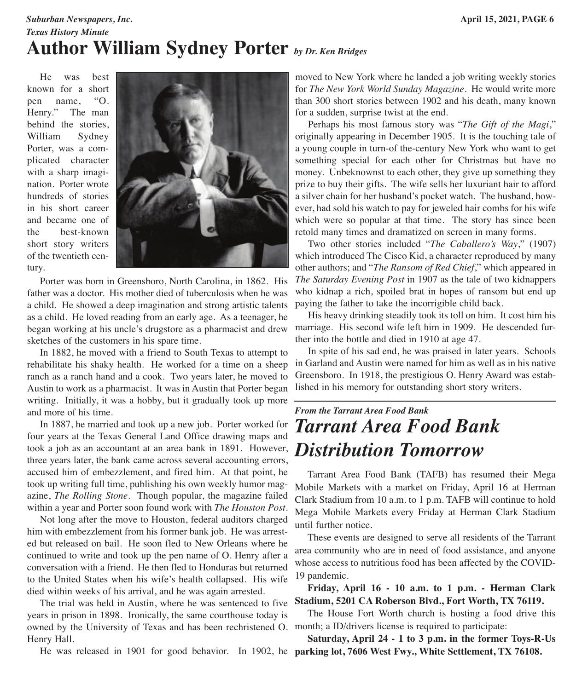### *Suburban Newspapers, Inc.* **April 15, 2021, PAGE 6** *Texas History Minute* **Author William Sydney Porter** *by Dr. Ken Bridges*

 He was best known for a short pen name, "O. Henry." The man behind the stories, William Sydney Porter, was a complicated character with a sharp imagination. Porter wrote hundreds of stories in his short career and became one of the best-known short story writers of the twentieth century.



 Porter was born in Greensboro, North Carolina, in 1862. His father was a doctor. His mother died of tuberculosis when he was a child. He showed a deep imagination and strong artistic talents as a child. He loved reading from an early age. As a teenager, he began working at his uncle's drugstore as a pharmacist and drew sketches of the customers in his spare time.

 In 1882, he moved with a friend to South Texas to attempt to rehabilitate his shaky health. He worked for a time on a sheep ranch as a ranch hand and a cook. Two years later, he moved to Austin to work as a pharmacist. It was in Austin that Porter began writing. Initially, it was a hobby, but it gradually took up more and more of his time.

 In 1887, he married and took up a new job. Porter worked for four years at the Texas General Land Office drawing maps and took a job as an accountant at an area bank in 1891. However, *Distribution Tomorrow*three years later, the bank came across several accounting errors, accused him of embezzlement, and fired him. At that point, he took up writing full time, publishing his own weekly humor magazine, *The Rolling Stone*. Though popular, the magazine failed within a year and Porter soon found work with *The Houston Post*.

 Not long after the move to Houston, federal auditors charged him with embezzlement from his former bank job. He was arrested but released on bail. He soon fled to New Orleans where he continued to write and took up the pen name of O. Henry after a conversation with a friend. He then fled to Honduras but returned to the United States when his wife's health collapsed. His wife died within weeks of his arrival, and he was again arrested.

 The trial was held in Austin, where he was sentenced to five years in prison in 1898. Ironically, the same courthouse today is owned by the University of Texas and has been rechristened O. month; a ID/drivers license is required to participate: Henry Hall.

He was released in 1901 for good behavior. In 1902, he **parking lot, 7606 West Fwy., White Settlement, TX 76108.**

moved to New York where he landed a job writing weekly stories for *The New York World Sunday Magazine*. He would write more than 300 short stories between 1902 and his death, many known for a sudden, surprise twist at the end.

 Perhaps his most famous story was "*The Gift of the Magi*," originally appearing in December 1905. It is the touching tale of a young couple in turn-of the-century New York who want to get something special for each other for Christmas but have no money. Unbeknownst to each other, they give up something they prize to buy their gifts. The wife sells her luxuriant hair to afford a silver chain for her husband's pocket watch. The husband, however, had sold his watch to pay for jeweled hair combs for his wife which were so popular at that time. The story has since been retold many times and dramatized on screen in many forms.

 Two other stories included "*The Caballero's Way*," (1907) which introduced The Cisco Kid, a character reproduced by many other authors; and "*The Ransom of Red Chief*," which appeared in *The Saturday Evening Post* in 1907 as the tale of two kidnappers who kidnap a rich, spoiled brat in hopes of ransom but end up paying the father to take the incorrigible child back.

 His heavy drinking steadily took its toll on him. It cost him his marriage. His second wife left him in 1909. He descended further into the bottle and died in 1910 at age 47.

 In spite of his sad end, he was praised in later years. Schools in Garland and Austin were named for him as well as in his native Greensboro. In 1918, the prestigious O. Henry Award was established in his memory for outstanding short story writers.

# *From the Tarrant Area Food Bank Tarrant Area Food Bank*

 Tarrant Area Food Bank (TAFB) has resumed their Mega Mobile Markets with a market on Friday, April 16 at Herman Clark Stadium from 10 a.m. to 1 p.m. TAFB will continue to hold Mega Mobile Markets every Friday at Herman Clark Stadium until further notice.

 These events are designed to serve all residents of the Tarrant area community who are in need of food assistance, and anyone whose access to nutritious food has been affected by the COVID-19 pandemic.

 **Friday, April 16 - 10 a.m. to 1 p.m. - Herman Clark Stadium, 5201 CA Roberson Blvd., Fort Worth, TX 76119.**

The House Fort Worth church is hosting a food drive this

 **Saturday, April 24 - 1 to 3 p.m. in the former Toys-R-Us**